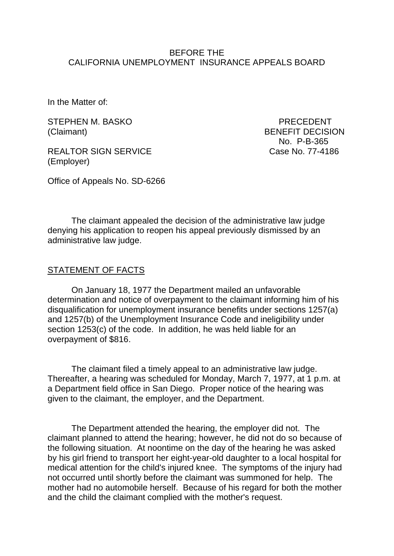## BEFORE THE CALIFORNIA UNEMPLOYMENT INSURANCE APPEALS BOARD

In the Matter of:

STEPHEN M. BASKO PRECEDENT (Claimant) BENEFIT DECISION

REALTOR SIGN SERVICE Case No. 77-4186 (Employer)

Office of Appeals No. SD-6266

No. P-B-365

The claimant appealed the decision of the administrative law judge denying his application to reopen his appeal previously dismissed by an administrative law judge.

## STATEMENT OF FACTS

On January 18, 1977 the Department mailed an unfavorable determination and notice of overpayment to the claimant informing him of his disqualification for unemployment insurance benefits under sections 1257(a) and 1257(b) of the Unemployment Insurance Code and ineligibility under section 1253(c) of the code. In addition, he was held liable for an overpayment of \$816.

The claimant filed a timely appeal to an administrative law judge. Thereafter, a hearing was scheduled for Monday, March 7, 1977, at 1 p.m. at a Department field office in San Diego. Proper notice of the hearing was given to the claimant, the employer, and the Department.

The Department attended the hearing, the employer did not. The claimant planned to attend the hearing; however, he did not do so because of the following situation. At noontime on the day of the hearing he was asked by his girl friend to transport her eight-year-old daughter to a local hospital for medical attention for the child's injured knee. The symptoms of the injury had not occurred until shortly before the claimant was summoned for help. The mother had no automobile herself. Because of his regard for both the mother and the child the claimant complied with the mother's request.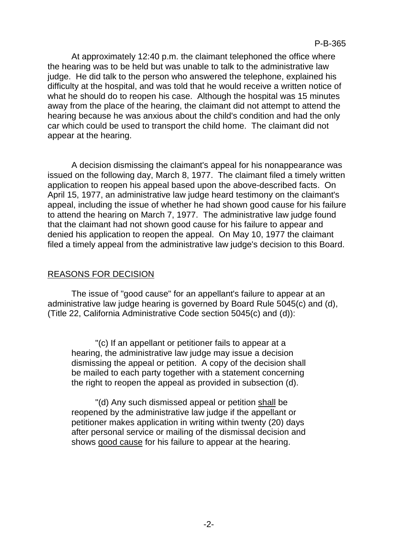At approximately 12:40 p.m. the claimant telephoned the office where the hearing was to be held but was unable to talk to the administrative law judge. He did talk to the person who answered the telephone, explained his difficulty at the hospital, and was told that he would receive a written notice of what he should do to reopen his case. Although the hospital was 15 minutes away from the place of the hearing, the claimant did not attempt to attend the hearing because he was anxious about the child's condition and had the only car which could be used to transport the child home. The claimant did not appear at the hearing.

A decision dismissing the claimant's appeal for his nonappearance was issued on the following day, March 8, 1977. The claimant filed a timely written application to reopen his appeal based upon the above-described facts. On April 15, 1977, an administrative law judge heard testimony on the claimant's appeal, including the issue of whether he had shown good cause for his failure to attend the hearing on March 7, 1977. The administrative law judge found that the claimant had not shown good cause for his failure to appear and denied his application to reopen the appeal. On May 10, 1977 the claimant filed a timely appeal from the administrative law judge's decision to this Board.

# REASONS FOR DECISION

The issue of "good cause" for an appellant's failure to appear at an administrative law judge hearing is governed by Board Rule 5045(c) and (d), (Title 22, California Administrative Code section 5045(c) and (d)):

"(c) If an appellant or petitioner fails to appear at a hearing, the administrative law judge may issue a decision dismissing the appeal or petition. A copy of the decision shall be mailed to each party together with a statement concerning the right to reopen the appeal as provided in subsection (d).

"(d) Any such dismissed appeal or petition shall be reopened by the administrative law judge if the appellant or petitioner makes application in writing within twenty (20) days after personal service or mailing of the dismissal decision and shows good cause for his failure to appear at the hearing.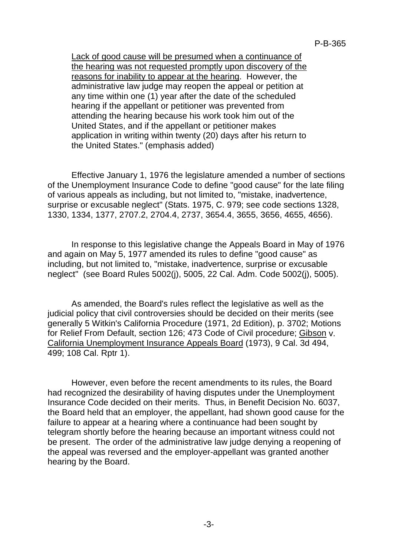Lack of good cause will be presumed when a continuance of the hearing was not requested promptly upon discovery of the reasons for inability to appear at the hearing. However, the administrative law judge may reopen the appeal or petition at any time within one (1) year after the date of the scheduled hearing if the appellant or petitioner was prevented from attending the hearing because his work took him out of the United States, and if the appellant or petitioner makes application in writing within twenty (20) days after his return to the United States." (emphasis added)

Effective January 1, 1976 the legislature amended a number of sections of the Unemployment Insurance Code to define "good cause" for the late filing of various appeals as including, but not limited to, "mistake, inadvertence, surprise or excusable neglect" (Stats. 1975, C. 979; see code sections 1328, 1330, 1334, 1377, 2707.2, 2704.4, 2737, 3654.4, 3655, 3656, 4655, 4656).

In response to this legislative change the Appeals Board in May of 1976 and again on May 5, 1977 amended its rules to define "good cause" as including, but not limited to, "mistake, inadvertence, surprise or excusable neglect" (see Board Rules 5002(j), 5005, 22 Cal. Adm. Code 5002(j), 5005).

As amended, the Board's rules reflect the legislative as well as the judicial policy that civil controversies should be decided on their merits (see generally 5 Witkin's California Procedure (1971, 2d Edition), p. 3702; Motions for Relief From Default, section 126; 473 Code of Civil procedure; Gibson v. California Unemployment Insurance Appeals Board (1973), 9 Cal. 3d 494, 499; 108 Cal. Rptr 1).

However, even before the recent amendments to its rules, the Board had recognized the desirability of having disputes under the Unemployment Insurance Code decided on their merits. Thus, in Benefit Decision No. 6037, the Board held that an employer, the appellant, had shown good cause for the failure to appear at a hearing where a continuance had been sought by telegram shortly before the hearing because an important witness could not be present. The order of the administrative law judge denying a reopening of the appeal was reversed and the employer-appellant was granted another hearing by the Board.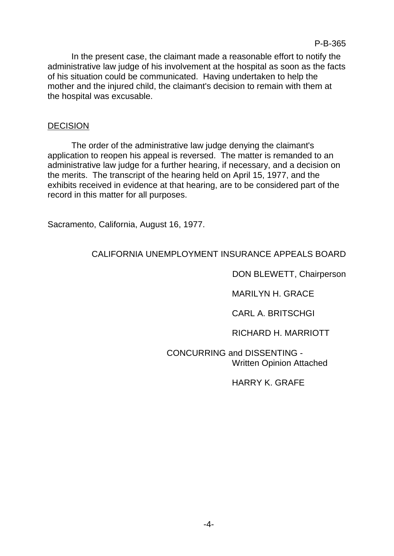In the present case, the claimant made a reasonable effort to notify the administrative law judge of his involvement at the hospital as soon as the facts of his situation could be communicated. Having undertaken to help the mother and the injured child, the claimant's decision to remain with them at the hospital was excusable.

## **DECISION**

The order of the administrative law judge denying the claimant's application to reopen his appeal is reversed. The matter is remanded to an administrative law judge for a further hearing, if necessary, and a decision on the merits. The transcript of the hearing held on April 15, 1977, and the exhibits received in evidence at that hearing, are to be considered part of the record in this matter for all purposes.

Sacramento, California, August 16, 1977.

# CALIFORNIA UNEMPLOYMENT INSURANCE APPEALS BOARD

DON BLEWETT, Chairperson

MARILYN H. GRACE

CARL A. BRITSCHGI

RICHARD H. MARRIOTT

CONCURRING and DISSENTING - Written Opinion Attached

HARRY K. GRAFE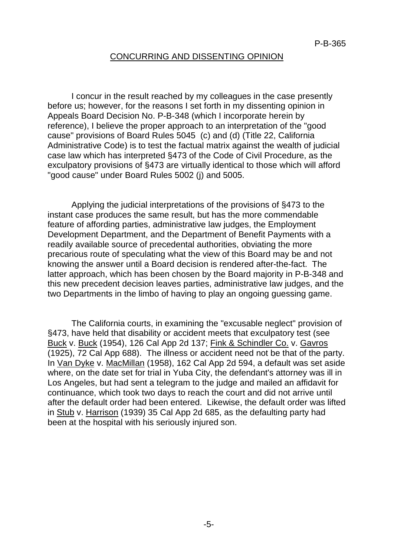#### CONCURRING AND DISSENTING OPINION

I concur in the result reached by my colleagues in the case presently before us; however, for the reasons I set forth in my dissenting opinion in Appeals Board Decision No. P-B-348 (which I incorporate herein by reference), I believe the proper approach to an interpretation of the "good cause" provisions of Board Rules 5045 (c) and (d) (Title 22, California Administrative Code) is to test the factual matrix against the wealth of judicial case law which has interpreted §473 of the Code of Civil Procedure, as the exculpatory provisions of §473 are virtually identical to those which will afford "good cause" under Board Rules 5002 (j) and 5005.

Applying the judicial interpretations of the provisions of §473 to the instant case produces the same result, but has the more commendable feature of affording parties, administrative law judges, the Employment Development Department, and the Department of Benefit Payments with a readily available source of precedental authorities, obviating the more precarious route of speculating what the view of this Board may be and not knowing the answer until a Board decision is rendered after-the-fact. The latter approach, which has been chosen by the Board majority in P-B-348 and this new precedent decision leaves parties, administrative law judges, and the two Departments in the limbo of having to play an ongoing guessing game.

The California courts, in examining the "excusable neglect" provision of §473, have held that disability or accident meets that exculpatory test (see Buck v. Buck (1954), 126 Cal App 2d 137; Fink & Schindler Co. v. Gavros (1925), 72 Cal App 688). The illness or accident need not be that of the party. In Van Dyke v. MacMillan (1958), 162 Cal App 2d 594, a default was set aside where, on the date set for trial in Yuba City, the defendant's attorney was ill in Los Angeles, but had sent a telegram to the judge and mailed an affidavit for continuance, which took two days to reach the court and did not arrive until after the default order had been entered. Likewise, the default order was lifted in Stub v. Harrison (1939) 35 Cal App 2d 685, as the defaulting party had been at the hospital with his seriously injured son.